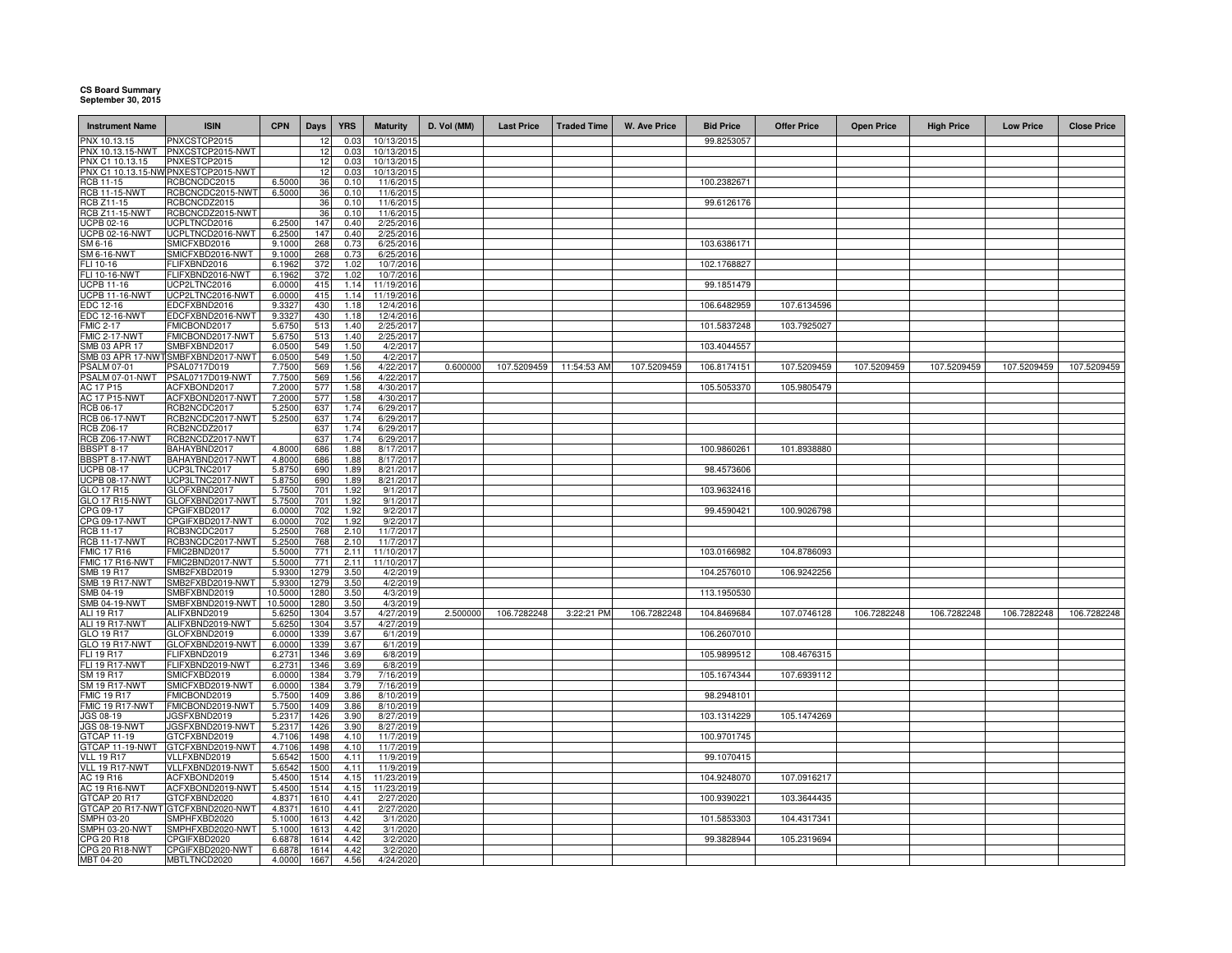## **CS Board Summary September 30, 2015**

| <b>Instrument Name</b>                     | <b>ISIN</b>                             | <b>CPN</b>       | <b>Days</b>  | <b>YRS</b>   | <b>Maturity</b>        | D. Vol (MM) | <b>Last Price</b> | <b>Traded Time</b> | W. Ave Price | <b>Bid Price</b> | <b>Offer Price</b> | <b>Open Price</b> | <b>High Price</b> | <b>Low Price</b> | <b>Close Price</b> |
|--------------------------------------------|-----------------------------------------|------------------|--------------|--------------|------------------------|-------------|-------------------|--------------------|--------------|------------------|--------------------|-------------------|-------------------|------------------|--------------------|
| PNX 10.13.15                               | PNXCSTCP2015                            |                  | 12           | 0.0          | 10/13/201              |             |                   |                    |              | 99.8253057       |                    |                   |                   |                  |                    |
| PNX 10.13.15-NWT                           | PNXCSTCP2015-NWT                        |                  | 12           | 0.03         | 10/13/201              |             |                   |                    |              |                  |                    |                   |                   |                  |                    |
| PNX C1 10.13.15                            | PNXESTCP2015                            |                  | 12           | 0.03         | 10/13/2015             |             |                   |                    |              |                  |                    |                   |                   |                  |                    |
|                                            | PNX C1 10.13.15-NW PNXESTCP2015-NWT     |                  | 12           | 0.03         | 10/13/201              |             |                   |                    |              |                  |                    |                   |                   |                  |                    |
| RCB 11-15                                  | RCBCNCDC2015                            | 6.5000           | 36           | 0.10         | 11/6/2015              |             |                   |                    |              | 100.2382671      |                    |                   |                   |                  |                    |
| <b>RCB 11-15-NWT</b>                       | RCBCNCDC2015-NWT                        | 6.5000           | 36           | 0.10         | 11/6/2015              |             |                   |                    |              |                  |                    |                   |                   |                  |                    |
| RCB Z11-15                                 | RCBCNCDZ2015                            |                  | 36           | 0.10         | 11/6/2015              |             |                   |                    |              | 99.6126176       |                    |                   |                   |                  |                    |
| <b>RCB Z11-15-NWT</b>                      | RCBCNCDZ2015-NWT                        |                  | 36           | 0.10         | 11/6/2015              |             |                   |                    |              |                  |                    |                   |                   |                  |                    |
| <b>UCPB 02-16</b>                          | UCPLTNCD2016                            | 6.2500           | 147          | 0.40         | 2/25/2016              |             |                   |                    |              |                  |                    |                   |                   |                  |                    |
| <b>UCPB 02-16-NWT</b>                      | UCPLTNCD2016-NWT                        | 6.2500           | 147          | 0.40         | 2/25/2016              |             |                   |                    |              |                  |                    |                   |                   |                  |                    |
| SM 6-16                                    | SMICFXBD2016                            | 9.1000           | 268          | 0.73         | 6/25/2016              |             |                   |                    |              | 103.6386171      |                    |                   |                   |                  |                    |
| <b>SM 6-16-NWT</b>                         | SMICFXBD2016-NWT<br><b>ELIFXBND2016</b> | 9.1000<br>6.1962 | 268          | 0.73         | 6/25/2016              |             |                   |                    |              | 102.1768827      |                    |                   |                   |                  |                    |
| FLI 10-16<br>FLI 10-16-NWT                 | FLIFXBND2016-NWT                        | 6.1962           | 372<br>372   | 1.02<br>1.02 | 10/7/2016<br>10/7/2016 |             |                   |                    |              |                  |                    |                   |                   |                  |                    |
| UCPB 11-16                                 | JCP2LTNC2016                            | 6.0000           | 415          | 1.14         | 11/19/2016             |             |                   |                    |              | 99.1851479       |                    |                   |                   |                  |                    |
| UCPB 11-16-NWT                             | UCP2LTNC2016-NWT                        | 6.0000           | 415          | 1.14         | 11/19/2016             |             |                   |                    |              |                  |                    |                   |                   |                  |                    |
| EDC 12-16                                  | EDCFXBND2016                            | 9.3327           | 430          | 1.18         | 12/4/2016              |             |                   |                    |              | 106.6482959      | 107.6134596        |                   |                   |                  |                    |
| <b>EDC 12-16-NWT</b>                       | EDCFXBND2016-NWT                        | 9.3327           | 430          | 1.18         | 12/4/2016              |             |                   |                    |              |                  |                    |                   |                   |                  |                    |
| <b>FMIC 2-17</b>                           | FMICBOND2017                            | 5.6750           | 513          | 1.40         | 2/25/2017              |             |                   |                    |              | 101.5837248      | 103.7925027        |                   |                   |                  |                    |
| FMIC 2-17-NWT                              | MICBOND2017-NWT                         | 5.6750           | 513          | 1.40         | 2/25/2017              |             |                   |                    |              |                  |                    |                   |                   |                  |                    |
| SMB 03 APR 17                              | MBFXBND2017                             | 6.0500           | 549          | 1.50         | 4/2/201                |             |                   |                    |              | 103.4044557      |                    |                   |                   |                  |                    |
| SMB 03 APR 17-NWT                          | SMBFXBND2017-NWT                        | 6.0500           | 549          | 1.50         | 4/2/2017               |             |                   |                    |              |                  |                    |                   |                   |                  |                    |
| PSALM 07-01                                | PSAL0717D019                            | 7.7500           | 569          | 1.56         | 4/22/2017              | 0.600000    | 107.5209459       | 11:54:53 AM        | 107.5209459  | 106.8174151      | 107.5209459        | 107.5209459       | 107.5209459       | 107.5209459      | 107.5209459        |
| PSALM 07-01-NWT                            | PSAL0717D019-NWT                        | 7.7500           | 569          | 1.56         | 4/22/2017              |             |                   |                    |              |                  |                    |                   |                   |                  |                    |
| AC 17 P15                                  | ACFXBOND2017                            | 7.2000           | 577          | 1.58         | 4/30/2017              |             |                   |                    |              | 105.5053370      | 105.9805479        |                   |                   |                  |                    |
| <b>AC 17 P15-NWT</b>                       | ACFXBOND2017-NWT                        | 7.2000           | 577          | 1.58         | 4/30/2017              |             |                   |                    |              |                  |                    |                   |                   |                  |                    |
| RCB 06-17                                  | RCB2NCDC2017                            | 5.2500           | 637          | 1.74         | 6/29/2017              |             |                   |                    |              |                  |                    |                   |                   |                  |                    |
| <b>RCB 06-17-NWT</b>                       | RCB2NCDC2017-NWT                        | 5.2500           | 637          | 1.74         | 6/29/2017              |             |                   |                    |              |                  |                    |                   |                   |                  |                    |
| <b>RCB Z06-17</b>                          | RCB2NCDZ2017                            |                  | 637          | 1.74         | 6/29/2017              |             |                   |                    |              |                  |                    |                   |                   |                  |                    |
| <b>RCB Z06-17-NWT</b>                      | RCB2NCDZ2017-NWT                        |                  | 637          | 1.74         | 6/29/2011              |             |                   |                    |              |                  |                    |                   |                   |                  |                    |
| BBSPT 8-17                                 | BAHAYBND2017                            | 4.8000           | 686          | 1.88         | 8/17/201               |             |                   |                    |              | 100.9860261      | 101.8938880        |                   |                   |                  |                    |
| BBSPT 8-17-NWT                             | BAHAYBND2017-NWT                        | 4.8000           | 686          | 1.88<br>1.89 | 8/17/201               |             |                   |                    |              |                  |                    |                   |                   |                  |                    |
| <b>UCPB 08-17</b><br><b>UCPB 08-17-NWT</b> | JCP3LTNC2017<br>UCP3LTNC2017-NWT        | 5.8750<br>5.8750 | 690<br>690   | 1.89         | 8/21/2011<br>8/21/2017 |             |                   |                    |              | 98.4573606       |                    |                   |                   |                  |                    |
| GLO 17 R15                                 | GLOFXBND2017                            | 5.7500           | 701          | 1.92         | 9/1/201                |             |                   |                    |              | 103.9632416      |                    |                   |                   |                  |                    |
| <b>GLO 17 R15-NWT</b>                      | GLOFXBND2017-NWT                        | 5.7500           | 701          | 1.92         | 9/1/201                |             |                   |                    |              |                  |                    |                   |                   |                  |                    |
| CPG 09-17                                  | CPGIFXBD2017                            | 6.0000           | 702          | 1.92         | 9/2/2017               |             |                   |                    |              | 99.4590421       | 100.9026798        |                   |                   |                  |                    |
| CPG 09-17-NWT                              | CPGIFXBD2017-NWT                        | 6.000            | 702          | 1.92         | 9/2/201                |             |                   |                    |              |                  |                    |                   |                   |                  |                    |
| <b>RCB 11-17</b>                           | RCB3NCDC2017                            | 5.2500           | 768          | 2.10         | 11/7/2017              |             |                   |                    |              |                  |                    |                   |                   |                  |                    |
| <b>RCB 11-17-NWT</b>                       | RCB3NCDC2017-NWT                        | 5.2500           | 768          | 2.10         | 11/7/2017              |             |                   |                    |              |                  |                    |                   |                   |                  |                    |
| <b>FMIC 17 R16</b>                         | FMIC2BND2017                            | 5.5000           | 771          | 2.11         | 11/10/201              |             |                   |                    |              | 103.0166982      | 104.8786093        |                   |                   |                  |                    |
| MIC 17 R16-NWT                             | FMIC2BND2017-NWT                        | 5.5000           | 771          | 2.11         | 11/10/201              |             |                   |                    |              |                  |                    |                   |                   |                  |                    |
| SMB 19 R17                                 | SMB2FXBD2019                            | 5.9300           | 1279         | 3.50         | 4/2/2019               |             |                   |                    |              | 104.2576010      | 106.9242256        |                   |                   |                  |                    |
| SMB 19 R17-NWT                             | SMB2FXBD2019-NWT                        | 5.9300           | 1279         | 3.50         | 4/2/2019               |             |                   |                    |              |                  |                    |                   |                   |                  |                    |
| SMB 04-19                                  | SMBFXBND2019                            | 10.5000          | 1280         | 3.50         | 4/3/2019               |             |                   |                    |              | 113.1950530      |                    |                   |                   |                  |                    |
| SMB 04-19-NWT                              | SMBFXBND2019-NWT                        | 10.5000          | 1280         | 3.50         | 4/3/2019               |             |                   |                    |              |                  |                    |                   |                   |                  |                    |
| ALI 19 R17                                 | ALIFXBND2019                            | 5.6250           | 1304         | 3.57         | 4/27/2019              | 2.500000    | 106.7282248       | 3:22:21 PM         | 106.7282248  | 104.8469684      | 107.0746128        | 106.7282248       | 106.7282248       | 106.7282248      | 106.7282248        |
| ALI 19 R17-NWT                             | ALIFXBND2019-NWT                        | 5.6250           | 1304         | 3.57         | 4/27/2019              |             |                   |                    |              |                  |                    |                   |                   |                  |                    |
| GLO 19 R17                                 | GLOFXBND2019                            | 6.0000           | 1339         | 3.67         | 6/1/2019               |             |                   |                    |              | 106.2607010      |                    |                   |                   |                  |                    |
| GLO 19 R17-NWT<br>FLI 19 R17               | GLOFXBND2019-NWT<br><b>LIFXBND2019</b>  | 6.0000<br>6.2731 | 1339<br>1346 | 3.67         | 6/1/2019<br>6/8/2019   |             |                   |                    |              |                  | 108.4676315        |                   |                   |                  |                    |
| FLI 19 R17-NWT                             | FLIFXBND2019-NWT                        | 6.2731           | 1346         | 3.69<br>3.69 | 6/8/2019               |             |                   |                    |              | 105.9899512      |                    |                   |                   |                  |                    |
| SM 19 R17                                  | SMICFXBD2019                            | 6.0000           | 1384         | 3.79         | 7/16/2019              |             |                   |                    |              | 105.1674344      | 107.6939112        |                   |                   |                  |                    |
| SM 19 R17-NWT                              | SMICFXBD2019-NWT                        | 6.0000           | 1384         | 3.79         | 7/16/2019              |             |                   |                    |              |                  |                    |                   |                   |                  |                    |
| <b>FMIC 19 R17</b>                         | MICBOND2019                             | 5.7500           | 1409         | 3.86         | 8/10/2019              |             |                   |                    |              | 98.2948101       |                    |                   |                   |                  |                    |
| FMIC 19 R17-NWT                            | FMICBOND2019-NWT                        | 5.7500           | 1409         | 3.86         | 8/10/2019              |             |                   |                    |              |                  |                    |                   |                   |                  |                    |
| JGS 08-19                                  | JGSFXBND2019                            | 5.2317           | 1426         | 3.90         | 8/27/2019              |             |                   |                    |              | 103.1314229      | 105.1474269        |                   |                   |                  |                    |
| <b>JGS 08-19-NWT</b>                       | JGSFXBND2019-NWT                        | 5.2317           | 1426         | 3.90         | 8/27/2019              |             |                   |                    |              |                  |                    |                   |                   |                  |                    |
| GTCAP 11-19                                | GTCFXBND2019                            | 4.7106           | 1498         | 4.10         | 11/7/2019              |             |                   |                    |              | 100.9701745      |                    |                   |                   |                  |                    |
| GTCAP 11-19-NWT                            | GTCFXBND2019-NWT                        | 4.7106           | 1498         | 4.10         | 11/7/2019              |             |                   |                    |              |                  |                    |                   |                   |                  |                    |
| <b>VLL 19 R17</b>                          | VLLFXBND2019                            | 5.6542           | 1500         | 4.11         | 11/9/201               |             |                   |                    |              | 99.1070415       |                    |                   |                   |                  |                    |
| VLL 19 R17-NWT                             | VLLFXBND2019-NWT                        | 5.6542           | 1500         | 4.11         | 11/9/2019              |             |                   |                    |              |                  |                    |                   |                   |                  |                    |
| AC 19 R16                                  | ACFXBOND2019                            | 5.4500           | 1514         | 4.15         | 11/23/201              |             |                   |                    |              | 104.9248070      | 107.0916217        |                   |                   |                  |                    |
| <b>AC 19 R16-NWT</b>                       | ACFXBOND2019-NWT                        | 5.4500           | 1514         | 4.15         | 11/23/2019             |             |                   |                    |              |                  |                    |                   |                   |                  |                    |
| GTCAP 20 R17                               | GTCFXBND2020                            | 4.8371           | 1610         | 4.41         | 2/27/2020              |             |                   |                    |              | 100.9390221      | 103.3644435        |                   |                   |                  |                    |
| GTCAP 20 R17-NWT                           | GTCFXBND2020-NWT                        | 4.8371           | 1610         | 4.41         | 2/27/2020              |             |                   |                    |              |                  |                    |                   |                   |                  |                    |
| SMPH 03-20                                 | SMPHFXBD2020                            | 5.1000           | 1613         | 4.42         | 3/1/2020               |             |                   |                    |              | 101.5853303      | 104.4317341        |                   |                   |                  |                    |
| SMPH 03-20-NWT                             | SMPHFXBD2020-NWT                        | 5.1000           | 1613         | 4.42         | 3/1/202                |             |                   |                    |              |                  |                    |                   |                   |                  |                    |
| CPG 20 R18                                 | CPGIFXBD2020                            | 6.6878           | 1614         | 4.42         | 3/2/2020               |             |                   |                    |              | 99.3828944       | 105.2319694        |                   |                   |                  |                    |
| CPG 20 R18-NWT<br>MBT 04-20                | CPGIFXBD2020-NWT<br>MBTLTNCD2020        | 6.6878<br>4.0000 | 1614<br>1667 | 4.42<br>4.56 | 3/2/202<br>4/24/2020   |             |                   |                    |              |                  |                    |                   |                   |                  |                    |
|                                            |                                         |                  |              |              |                        |             |                   |                    |              |                  |                    |                   |                   |                  |                    |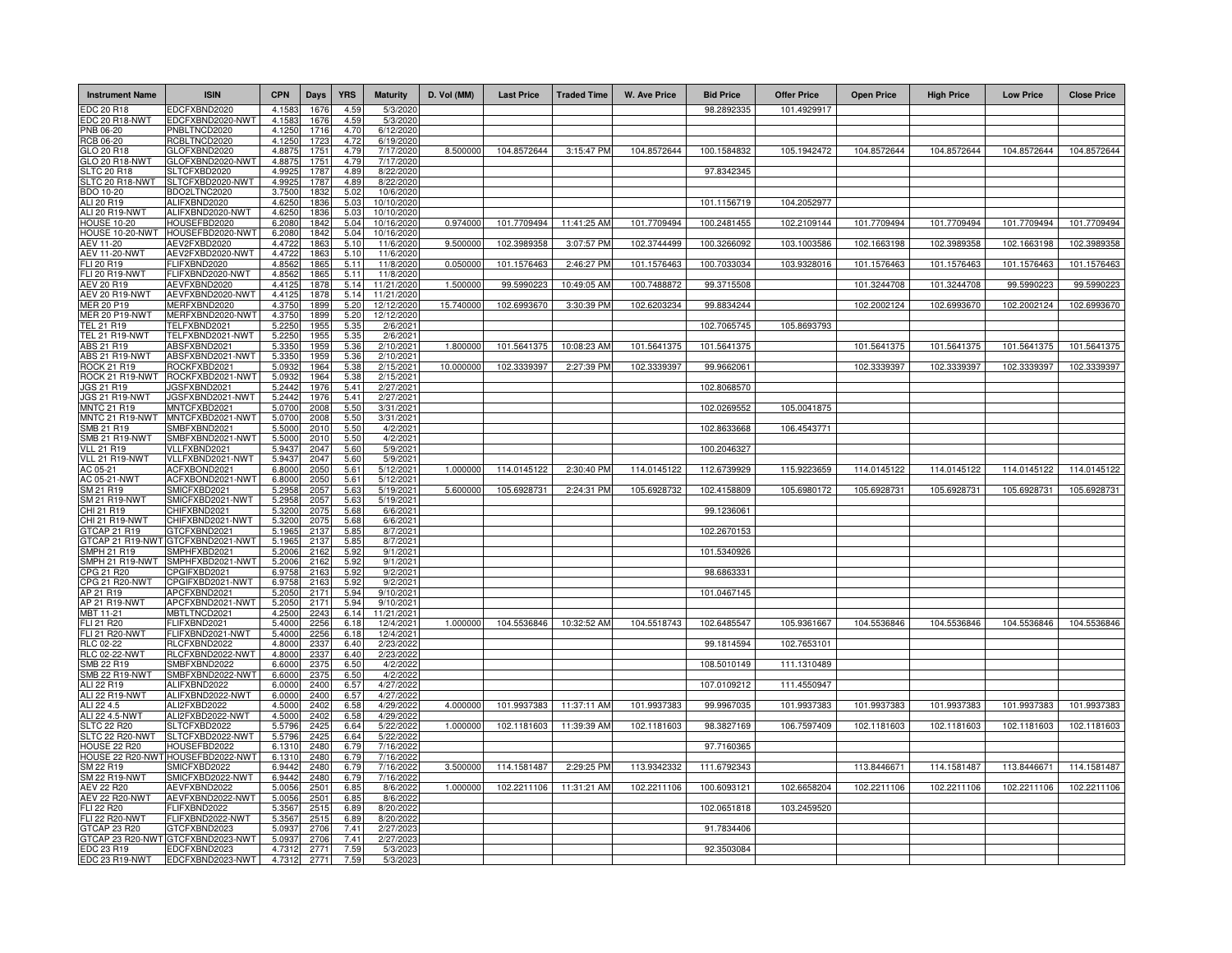| <b>Instrument Name</b>                     | <b>ISIN</b>                             | <b>CPN</b>       | <b>Days</b>  | <b>YRS</b>   | <b>Maturity</b>          | D. Vol (MM) | <b>Last Price</b> | <b>Traded Time</b> | <b>W. Ave Price</b> | <b>Bid Price</b> | <b>Offer Price</b> | <b>Open Price</b> | <b>High Price</b> | <b>Low Price</b> | <b>Close Price</b> |
|--------------------------------------------|-----------------------------------------|------------------|--------------|--------------|--------------------------|-------------|-------------------|--------------------|---------------------|------------------|--------------------|-------------------|-------------------|------------------|--------------------|
| DC 20 R18                                  | EDCFXBND2020                            | 4.1583           | 1676         | 4.59         | 5/3/202                  |             |                   |                    |                     | 98.2892335       | 101.4929917        |                   |                   |                  |                    |
| <b>EDC 20 R18-NWT</b>                      | EDCFXBND2020-NWT                        | 4.1583           | 1676         | 4.59         | 5/3/202                  |             |                   |                    |                     |                  |                    |                   |                   |                  |                    |
| PNB 06-20<br>RCB 06-20                     | PNBLTNCD2020<br>RCBLTNCD2020            | 4.1250<br>4.1250 | 1716<br>172  | 4.70<br>4.72 | 6/12/2020<br>6/19/2020   |             |                   |                    |                     |                  |                    |                   |                   |                  |                    |
| GLO 20 R18                                 | GLOFXBND2020                            | 4.8875           | 1751         | 4.79         | 7/17/2020                | 8.500000    | 104.8572644       | 3:15:47 PM         | 104.8572644         | 100.1584832      | 105.1942472        | 104.8572644       | 104.8572644       | 104.8572644      | 104.8572644        |
| GLO 20 R18-NWT                             | GLOFXBND2020-NWT                        | 4.8875           | 1751         | 4.79         | 7/17/2020                |             |                   |                    |                     |                  |                    |                   |                   |                  |                    |
| LTC 20 R18                                 | SLTCFXBD2020                            | 4.9925           | 1787         | 4.89         | 8/22/2020                |             |                   |                    |                     | 97.8342345       |                    |                   |                   |                  |                    |
| LTC 20 R18-NWT<br>BDO 10-20                | SLTCFXBD2020-NWT<br>BDO2LTNC2020        | 4.9925<br>3.7500 | 1787<br>1832 | 4.89<br>5.02 | 8/22/2020<br>10/6/2020   |             |                   |                    |                     |                  |                    |                   |                   |                  |                    |
| ALI 20 R19                                 | ALIFXBND2020                            | 4.6250           | 1836         | 5.03         | 10/10/202                |             |                   |                    |                     | 101.1156719      | 104.2052977        |                   |                   |                  |                    |
| <b>ALI 20 R19-NWT</b>                      | ALIFXBND2020-NWT                        | 4.6250           | 1836         | 5.03         | 10/10/202                |             |                   |                    |                     |                  |                    |                   |                   |                  |                    |
| <b>HOUSE 10-20</b>                         | HOUSEFBD2020                            | 6.2080           | 1842         | 5.04         | 10/16/2020               | 0.97400     | 101.7709494       | 11:41:25 AM        | 101.7709494         | 100.2481455      | 102.2109144        | 101.7709494       | 101.7709494       | 101.7709494      | 101.7709494        |
| HOUSE 10-20-NWT<br>AEV 11-20               | HOUSEFBD2020-NWT<br>AEV2FXBD2020        | 6.2080<br>4.4722 | 1842<br>1863 | 5.04<br>510  | 10/16/2020<br>11/6/2020  | 9.500000    | 102.3989358       | 3:07:57 PM         | 102.3744499         | 100.3266092      | 103.1003586        | 102.1663198       | 102.3989358       | 102.1663198      | 102.3989358        |
| <b>AEV 11-20-NWT</b>                       | AEV2FXBD2020-NWT                        | 4.4722           | 1863         | 5.10         | 11/6/2020                |             |                   |                    |                     |                  |                    |                   |                   |                  |                    |
| FLI 20 R19                                 | FLIFXBND2020                            | 4.8562           | 1865         | 5.11         | 11/8/2020                | 0.050000    | 101.1576463       | 2:46:27 PM         | 101.1576463         | 100.7033034      | 103.9328016        | 101.1576463       | 101.1576463       | 101.1576463      | 101.1576463        |
| FLI 20 R19-NWT                             | FLIFXBND2020-NWT                        | 4.8562           | 1865         | 5.11         | 11/8/2020                |             |                   |                    |                     |                  |                    |                   |                   |                  |                    |
| AEV 20 R19<br>AEV 20 R19-NWT               | AEVFXBND2020<br>AEVFXBND2020-NWT        | 4.4125<br>4.4125 | 1878<br>1878 | 5.14<br>5.14 | 11/21/2020<br>11/21/2020 | 1.500000    | 99.5990223        | 10:49:05 AM        | 100.7488872         | 99.3715508       |                    | 101.3244708       | 101.3244708       | 99.5990223       | 99.5990223         |
| MER 20 P19                                 | MERFXBND2020                            | 4.3750           | 1899         | 5.20         | 12/12/2020               | 15.740000   | 102.6993670       | 3:30:39 PM         | 102.6203234         | 99.8834244       |                    | 102.2002124       | 102.6993670       | 102.2002124      | 102.6993670        |
| <b>MER 20 P19-NWT</b>                      | MERFXBND2020-NWT                        | 4.3750           | 1899         | 5.20         | 12/12/2020               |             |                   |                    |                     |                  |                    |                   |                   |                  |                    |
| TEL 21 R19                                 | FELFXBND2021                            | 5.2250           | 1955         | 5.35         | 2/6/2021                 |             |                   |                    |                     | 102.7065745      | 105.8693793        |                   |                   |                  |                    |
| <b>TEL 21 R19-NWT</b><br>ABS 21 R19        | TELFXBND2021-NWT<br>ABSFXBND2021        | 5.2250           | 1955<br>1959 | 5.35         | 2/6/2021<br>2/10/2021    | 1.800000    | 101.5641375       | 10:08:23 AM        | 101.5641375         | 101.5641375      |                    | 101.5641375       | 101.5641375       | 101.5641375      | 101.5641375        |
| <b>ABS 21 R19-NWT</b>                      | ABSFXBND2021-NWT                        | 5.3350<br>5.3350 | 1959         | 5.36<br>5.36 | 2/10/2021                |             |                   |                    |                     |                  |                    |                   |                   |                  |                    |
| <b>ROCK 21 R19</b>                         | ROCKFXBD2021                            | 5.093            | 1964         | 5.38         | 2/15/2021                | 10.000000   | 102.3339397       | 2:27:39 PM         | 102.3339397         | 99.9662061       |                    | 102.3339397       | 102.3339397       | 102.3339397      | 102.3339397        |
| ROCK 21 R19-NWT                            | ROCKFXBD2021-NWT                        | 5.0932           | 1964         | 5.38         | 2/15/2021                |             |                   |                    |                     |                  |                    |                   |                   |                  |                    |
| JGS 21 R19                                 | IGSFXBND2021<br><b>IGSFXBND2021-NWT</b> | 5.2442           | 1976         | 5.41         | 2/27/2021                |             |                   |                    |                     | 102.8068570      |                    |                   |                   |                  |                    |
| JGS 21 R19-NWT<br><b>MNTC 21 R19</b>       | MNTCFXBD2021                            | 5.2442<br>5.0700 | 1976<br>2008 | 5.41<br>5.50 | 2/27/2021<br>3/31/2021   |             |                   |                    |                     | 102.0269552      | 105.0041875        |                   |                   |                  |                    |
| MNTC 21 R19-NWT                            | MNTCFXBD2021-NWT                        | 5.070            | 2008         | 5.50         | 3/31/2021                |             |                   |                    |                     |                  |                    |                   |                   |                  |                    |
| MB 21 R19                                  | SMBFXBND2021                            | 5.5000           | 2010         | 5.50         | 4/2/2021                 |             |                   |                    |                     | 102.8633668      | 106.4543771        |                   |                   |                  |                    |
| MB 21 R19-NWT                              | SMBFXBND2021-NWT                        | 5.5000           | 2010<br>2047 | 5.50         | 4/2/2021                 |             |                   |                    |                     |                  |                    |                   |                   |                  |                    |
| <b>VLL 21 R19</b><br>/LL 21 R19-NWT        | VLLFXBND2021<br>VLLFXBND2021-NWT        | 5.9437<br>5.9437 | 2047         | 5.60<br>5.60 | 5/9/2021<br>5/9/2021     |             |                   |                    |                     | 100.2046327      |                    |                   |                   |                  |                    |
| AC 05-21                                   | ACFXBOND2021                            | 6.8000           | 2050         | 5.61         | 5/12/2021                | 1.000000    | 114.0145122       | 2:30:40 PM         | 114.0145122         | 112.6739929      | 115.9223659        | 114.0145122       | 114.0145122       | 114.0145122      | 114.0145122        |
| <b>IC 05-21-NWT</b>                        | ACFXBOND2021-NWT                        | 6.8000           | 2050         | 5.61         | 5/12/2021                |             |                   |                    |                     |                  |                    |                   |                   |                  |                    |
| M 21 R19<br>M 21 R19-NWT                   | SMICFXBD2021<br>SMICFXBD2021-NWT        | 5.2958<br>5.2958 | 2057<br>205  | 5.63<br>5.63 | 5/19/2021<br>5/19/2021   | 5.600000    | 105.6928731       | 2:24:31 PM         | 105.6928732         | 102.4158809      | 105.6980172        | 105.6928731       | 105.6928731       | 105.6928731      | 105.6928731        |
| HI 21 R19                                  | CHIFXBND2021                            | 5.3200           | 2075         | 5.68         | 6/6/2021                 |             |                   |                    |                     | 99.1236061       |                    |                   |                   |                  |                    |
| <b>HI 21 R19-NWT</b>                       | CHIFXBND2021-NWT                        | 5.3200           | 2075         | 5.68         | 6/6/2021                 |             |                   |                    |                     |                  |                    |                   |                   |                  |                    |
| TCAP 21 R19                                | GTCFXBND2021                            | 5.1965           | 2137         | 5.85         | 8/7/2021                 |             |                   |                    |                     | 102.2670153      |                    |                   |                   |                  |                    |
| <b>GTCAP 21 R19-NWT</b><br>MPH 21 R19      | GTCFXBND2021-NWT<br>SMPHFXBD2021        | 5.1965<br>5.2006 | 2137<br>2162 | 5.85<br>5.92 | 8/7/2021<br>9/1/2021     |             |                   |                    |                     | 101.5340926      |                    |                   |                   |                  |                    |
| MPH 21 R19-NWT                             | SMPHFXBD2021-NWT                        | 5.2006           | 2162         | 5.92         | 9/1/2021                 |             |                   |                    |                     |                  |                    |                   |                   |                  |                    |
| PG 21 R20                                  | CPGIFXBD2021                            | 6.9758           | 2163         | 5.92         | 9/2/2021                 |             |                   |                    |                     | 98.6863331       |                    |                   |                   |                  |                    |
| PG 21 R20-NWT                              | CPGIFXBD2021-NWT                        | 6.9758           | 2163         | 5.92         | 9/2/2021                 |             |                   |                    |                     |                  |                    |                   |                   |                  |                    |
| AP 21 R19<br>AP 21 R19-NWT                 | APCFXBND2021<br>APCFXBND2021-NWT        | 5.2050<br>5.2050 | 2171<br>2171 | 5.94<br>5.94 | 9/10/2021<br>9/10/2021   |             |                   |                    |                     | 101.0467145      |                    |                   |                   |                  |                    |
| MBT 11-21                                  | MBTLTNCD2021                            | 4.2500           | 2243         | 6.14         | 11/21/2021               |             |                   |                    |                     |                  |                    |                   |                   |                  |                    |
| FLI 21 R20                                 | FLIFXBND2021                            | 5.4000           | 2256         | 6.18         | 12/4/2021                | 1.000000    | 104.5536846       | 10:32:52 AM        | 104.5518743         | 102.6485547      | 105.9361667        | 104.5536846       | 104.5536846       | 104.5536846      | 104.5536846        |
| <b>FLI 21 R20-NWT</b>                      | FLIFXBND2021-NWT                        | 5.4000           | 2256         | 6.18         | 12/4/2021                |             |                   |                    |                     |                  |                    |                   |                   |                  |                    |
| RLC 02-22<br><b>RLC 02-22-NWT</b>          | RLCFXBND2022<br>RLCFXBND2022-NWT        | 4.8000<br>4.8000 | 2337<br>2337 | 6.40<br>6.40 | 2/23/2022<br>2/23/2022   |             |                   |                    |                     | 99.1814594       | 102.7653101        |                   |                   |                  |                    |
| SMB 22 R19                                 | SMBFXBND2022                            | 6.6000           | 2375         | 6.50         | 4/2/2022                 |             |                   |                    |                     | 108.5010149      | 111.1310489        |                   |                   |                  |                    |
| <b>SMB 22 R19-NWT</b>                      | SMBFXBND2022-NWT                        | 6.6000           | 2375         | 6.50         | 4/2/2022                 |             |                   |                    |                     |                  |                    |                   |                   |                  |                    |
| ALI 22 R19                                 | ALIFXBND2022                            | 6.0000           | 2400         | 6.57         | 4/27/2022                |             |                   |                    |                     | 107.0109212      | 111.4550947        |                   |                   |                  |                    |
| ALI 22 R19-NWT<br>ALI 22 4.5               | ALIFXBND2022-NWT<br>ALI2FXBD2022        | 6.0000<br>4.5000 | 2400<br>2402 | 6.57<br>6.58 | 4/27/2022<br>4/29/2022   | 4.000000    | 101.9937383       | 11:37:11 AM        | 101.9937383         | 99.9967035       | 101.9937383        | 101.9937383       | 101.9937383       | 101.9937383      | 101.9937383        |
| ALI 22 4.5-NWT                             | ALI2FXBD2022-NWT                        | 4.5000           | 2402         | 6.58         | 4/29/2022                |             |                   |                    |                     |                  |                    |                   |                   |                  |                    |
| LTC 22 R20                                 | SLTCFXBD2022                            | 5.5796           | 2425         | 6.64         | 5/22/2022                | 1.000000    | 102.1181603       | 11:39:39 AM        | 102.1181603         | 98.3827169       | 106.7597409        | 102.1181603       | 102.1181603       | 102.1181603      | 102.1181603        |
| LTC 22 R20-NWT                             | SLTCFXBD2022-NWT                        | 5.5796           | 2425<br>2480 | 6.64         | 5/22/2022<br>7/16/2022   |             |                   |                    |                     |                  |                    |                   |                   |                  |                    |
| HOUSE 22 R20<br><b>HOUSE 22 R20-NWT</b>    | HOUSEFBD2022<br>HOUSEFBD2022-NWT        | 6.1310<br>6.1310 | 2480         | 6.79<br>6.79 | 7/16/2022                |             |                   |                    |                     | 97.7160365       |                    |                   |                   |                  |                    |
| M 22 R19                                   | SMICFXBD2022                            | 6.9442           | 2480         | 6.79         | 7/16/2022                | 3.500000    | 114.1581487       | 2:29:25 PM         | 113.9342332         | 111.6792343      |                    | 113.8446671       | 114.1581487       | 113.8446671      | 114.1581487        |
| M 22 R19-NWT                               | SMICFXBD2022-NWT                        | 6.9442           | 2480         | 6.79         | 7/16/202                 |             |                   |                    |                     |                  |                    |                   |                   |                  |                    |
| <b>AEV 22 R20</b><br><b>AEV 22 R20-NWT</b> | AEVFXBND2022<br>AEVFXBND2022-NWT        | 5.0056<br>5.0056 | 2501<br>2501 | 6.85<br>6.85 | 8/6/2022<br>8/6/2022     | 1.000000    | 102.2211106       | 11:31:21 AM        | 102.2211106         | 100.6093121      | 102.6658204        | 102.2211106       | 102.2211106       | 102.2211106      | 102.2211106        |
| FLI 22 R20                                 | FLIFXBND2022                            | 5.3567           | 2515         | 6.89         | 8/20/2022                |             |                   |                    |                     | 102.0651818      | 103.2459520        |                   |                   |                  |                    |
| FLI 22 R20-NWT                             | FLIFXBND2022-NWT                        | 5.3567           | 2515         | 6.89         | 8/20/2022                |             |                   |                    |                     |                  |                    |                   |                   |                  |                    |
| TCAP 23 R20                                | GTCFXBND2023                            | 5.0937           | 2706         | 7.41         | 2/27/2023                |             |                   |                    |                     | 91.7834406       |                    |                   |                   |                  |                    |
| <b>GTCAP 23 R20-NWT</b><br>EDC 23 R19      | GTCFXBND2023-NWT<br>EDCFXBND2023        | 5.093<br>4.7312  | 2706<br>2771 | 7.41<br>7.59 | 2/27/2023<br>5/3/2023    |             |                   |                    |                     | 92.3503084       |                    |                   |                   |                  |                    |
| EDC 23 R19-NWT                             | EDCFXBND2023-NWT                        | 4.7312           | 2771         | 7.59         | 5/3/2023                 |             |                   |                    |                     |                  |                    |                   |                   |                  |                    |
|                                            |                                         |                  |              |              |                          |             |                   |                    |                     |                  |                    |                   |                   |                  |                    |